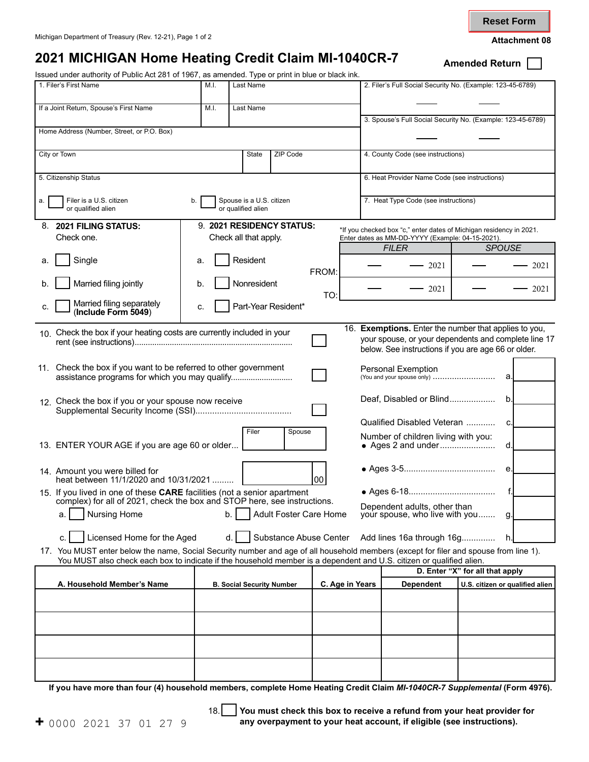**Reset Form**

## **2021 MICHIGAN Home Heating Credit Claim MI-1040CR-7** Amended Return [

Issued under authority of Public Act 281 of 1967, as amended. Type or print in blue or black ink.

| Issued under authority of Public Act 281 of 1967, as amended. Type or print in blue or black ink.<br>1. Filer's First Name<br>M.I.<br>Last Name |           |                                  |                        |       |                                     | 2. Filer's Full Social Security No. (Example: 123-45-6789)           |                                 |      |  |
|-------------------------------------------------------------------------------------------------------------------------------------------------|-----------|----------------------------------|------------------------|-------|-------------------------------------|----------------------------------------------------------------------|---------------------------------|------|--|
|                                                                                                                                                 |           |                                  |                        |       |                                     |                                                                      |                                 |      |  |
| If a Joint Return, Spouse's First Name                                                                                                          | Last Name |                                  |                        |       |                                     |                                                                      |                                 |      |  |
|                                                                                                                                                 |           |                                  |                        |       |                                     | 3. Spouse's Full Social Security No. (Example: 123-45-6789)          |                                 |      |  |
| Home Address (Number, Street, or P.O. Box)                                                                                                      |           |                                  |                        |       |                                     |                                                                      |                                 |      |  |
| City or Town<br>State<br>ZIP Code                                                                                                               |           |                                  |                        |       |                                     | 4. County Code (see instructions)                                    |                                 |      |  |
|                                                                                                                                                 |           |                                  |                        |       |                                     |                                                                      |                                 |      |  |
| 5. Citizenship Status                                                                                                                           |           |                                  |                        |       |                                     | 6. Heat Provider Name Code (see instructions)                        |                                 |      |  |
| Filer is a U.S. citizen<br>a.                                                                                                                   | b.        | Spouse is a U.S. citizen         |                        |       |                                     | 7. Heat Type Code (see instructions)                                 |                                 |      |  |
| or qualified alien                                                                                                                              |           | or qualified alien               |                        |       |                                     |                                                                      |                                 |      |  |
| 8. 2021 FILING STATUS:                                                                                                                          |           | 9. 2021 RESIDENCY STATUS:        |                        |       |                                     | *If you checked box "c," enter dates of Michigan residency in 2021.  |                                 |      |  |
| Check one.                                                                                                                                      |           | Check all that apply.            |                        |       |                                     | Enter dates as MM-DD-YYYY (Example: 04-15-2021).                     |                                 |      |  |
| Single                                                                                                                                          |           | Resident                         |                        |       |                                     | <b>FILER</b>                                                         | <b>SPOUSE</b>                   |      |  |
| a.                                                                                                                                              | а.        |                                  |                        | FROM: |                                     | 2021                                                                 |                                 | 2021 |  |
| Married filing jointly<br>b.                                                                                                                    | b.        | Nonresident                      |                        | TO:   |                                     | 2021                                                                 |                                 | 2021 |  |
| Married filing separately<br>c.<br>(Include Form 5049)                                                                                          | c.        | Part-Year Resident*              |                        |       |                                     |                                                                      |                                 |      |  |
| 16. Exemptions. Enter the number that applies to you,<br>10. Check the box if your heating costs are currently included in your                 |           |                                  |                        |       |                                     |                                                                      |                                 |      |  |
|                                                                                                                                                 |           |                                  |                        |       |                                     | your spouse, or your dependents and complete line 17                 |                                 |      |  |
|                                                                                                                                                 |           |                                  |                        |       |                                     | below. See instructions if you are age 66 or older.                  |                                 |      |  |
| 11. Check the box if you want to be referred to other government                                                                                |           |                                  |                        |       |                                     | <b>Personal Exemption</b><br>(You and your spouse only)              |                                 |      |  |
| assistance programs for which you may qualify                                                                                                   |           |                                  |                        |       |                                     |                                                                      | a.                              |      |  |
| 12. Check the box if you or your spouse now receive                                                                                             |           |                                  |                        |       |                                     | Deaf, Disabled or Blind<br>b.                                        |                                 |      |  |
|                                                                                                                                                 |           |                                  |                        |       |                                     |                                                                      |                                 |      |  |
| Filer<br>Spouse                                                                                                                                 |           |                                  |                        |       | Number of children living with you: |                                                                      |                                 |      |  |
| 13. ENTER YOUR AGE if you are age 60 or older<br>d.                                                                                             |           |                                  |                        |       |                                     |                                                                      |                                 |      |  |
| 14. Amount you were billed for                                                                                                                  |           |                                  |                        |       |                                     |                                                                      | е.                              |      |  |
| heat between 11/1/2020 and 10/31/2021<br>00                                                                                                     |           |                                  |                        |       |                                     |                                                                      |                                 |      |  |
| 15. If you lived in one of these CARE facilities (not a senior apartment                                                                        |           |                                  |                        |       |                                     |                                                                      |                                 |      |  |
| complex) for all of 2021, check the box and STOP here, see instructions.<br>Adult Foster Care Home<br><b>Nursing Home</b><br>b.<br>a.           |           |                                  |                        |       |                                     | Dependent adults, other than<br>your spouse, who live with you<br>g. |                                 |      |  |
|                                                                                                                                                 |           |                                  |                        |       |                                     |                                                                      |                                 |      |  |
| Licensed Home for the Aged<br>c.                                                                                                                |           | d.                               | Substance Abuse Center |       |                                     | Add lines 16a through 16g                                            | h.                              |      |  |
| 17. You MUST enter below the name, Social Security number and age of all household members (except for filer and spouse from line 1).           |           |                                  |                        |       |                                     |                                                                      |                                 |      |  |
| You MUST also check each box to indicate if the household member is a dependent and U.S. citizen or qualified alien.                            |           |                                  |                        |       |                                     |                                                                      | D. Enter "X" for all that apply |      |  |
| A. Household Member's Name                                                                                                                      |           | <b>B. Social Security Number</b> |                        |       | C. Age in Years                     | <b>Dependent</b>                                                     | U.S. citizen or qualified alien |      |  |
|                                                                                                                                                 |           |                                  |                        |       |                                     |                                                                      |                                 |      |  |
|                                                                                                                                                 |           |                                  |                        |       |                                     |                                                                      |                                 |      |  |
|                                                                                                                                                 |           |                                  |                        |       |                                     |                                                                      |                                 |      |  |
|                                                                                                                                                 |           |                                  |                        |       |                                     |                                                                      |                                 |      |  |
|                                                                                                                                                 |           |                                  |                        |       |                                     |                                                                      |                                 |      |  |

**If you have more than four (4) household members, complete Home Heating Credit Claim** *MI-1040CR-7 Supplemental* **(Form 4976).** 

18. **You must check this box to receive a refund from your heat provider for +** 0000 2021 37 01 27 9 **any overpayment to your heat account, if eligible (see instructions).**